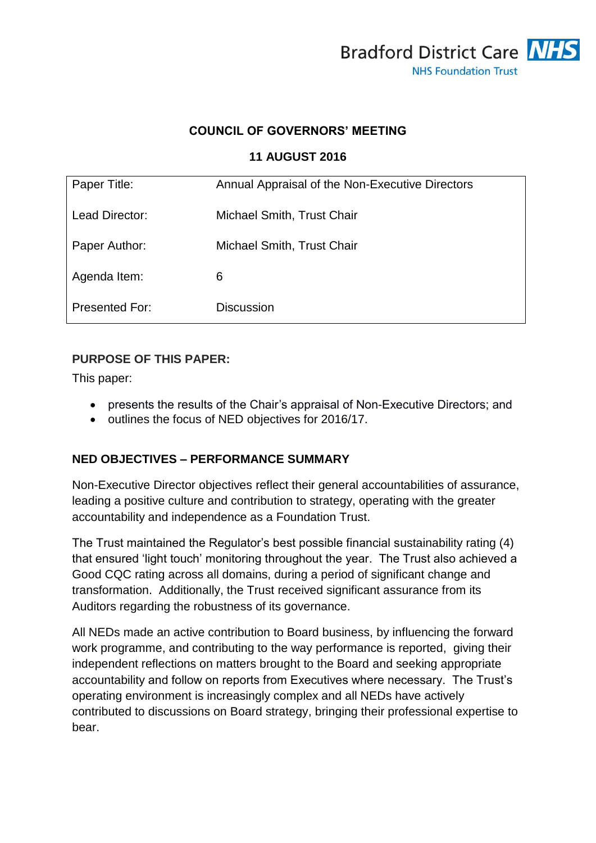

## **COUNCIL OF GOVERNORS' MEETING**

#### **11 AUGUST 2016**

| Paper Title:          | Annual Appraisal of the Non-Executive Directors |
|-----------------------|-------------------------------------------------|
| Lead Director:        | Michael Smith, Trust Chair                      |
| Paper Author:         | Michael Smith, Trust Chair                      |
| Agenda Item:          | 6                                               |
| <b>Presented For:</b> | <b>Discussion</b>                               |

#### **PURPOSE OF THIS PAPER:**

This paper:

- presents the results of the Chair's appraisal of Non-Executive Directors; and
- $\bullet$  outlines the focus of NED objectives for 2016/17.

### **NED OBJECTIVES – PERFORMANCE SUMMARY**

Non-Executive Director objectives reflect their general accountabilities of assurance, leading a positive culture and contribution to strategy, operating with the greater accountability and independence as a Foundation Trust.

The Trust maintained the Regulator's best possible financial sustainability rating (4) that ensured 'light touch' monitoring throughout the year. The Trust also achieved a Good CQC rating across all domains, during a period of significant change and transformation. Additionally, the Trust received significant assurance from its Auditors regarding the robustness of its governance.

All NEDs made an active contribution to Board business, by influencing the forward work programme, and contributing to the way performance is reported, giving their independent reflections on matters brought to the Board and seeking appropriate accountability and follow on reports from Executives where necessary. The Trust's operating environment is increasingly complex and all NEDs have actively contributed to discussions on Board strategy, bringing their professional expertise to bear.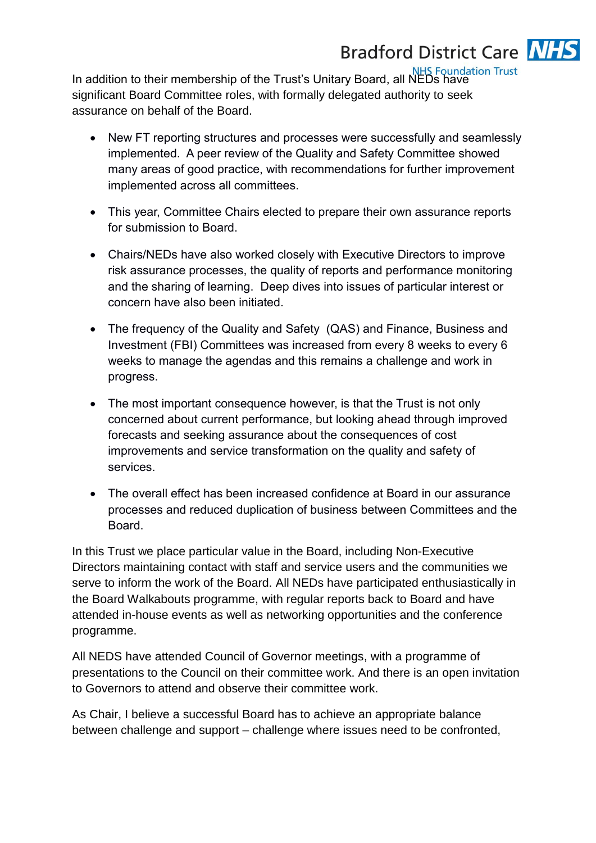

In addition to their membership of the Trust's Unitary Board, all NEDs have significant Board Committee roles, with formally delegated authority to seek assurance on behalf of the Board.

- New FT reporting structures and processes were successfully and seamlessly implemented. A peer review of the Quality and Safety Committee showed many areas of good practice, with recommendations for further improvement implemented across all committees.
- This year, Committee Chairs elected to prepare their own assurance reports for submission to Board.
- Chairs/NEDs have also worked closely with Executive Directors to improve risk assurance processes, the quality of reports and performance monitoring and the sharing of learning. Deep dives into issues of particular interest or concern have also been initiated.
- The frequency of the Quality and Safety (QAS) and Finance, Business and Investment (FBI) Committees was increased from every 8 weeks to every 6 weeks to manage the agendas and this remains a challenge and work in progress.
- The most important consequence however, is that the Trust is not only concerned about current performance, but looking ahead through improved forecasts and seeking assurance about the consequences of cost improvements and service transformation on the quality and safety of services.
- The overall effect has been increased confidence at Board in our assurance processes and reduced duplication of business between Committees and the Board.

In this Trust we place particular value in the Board, including Non-Executive Directors maintaining contact with staff and service users and the communities we serve to inform the work of the Board. All NEDs have participated enthusiastically in the Board Walkabouts programme, with regular reports back to Board and have attended in-house events as well as networking opportunities and the conference programme.

All NEDS have attended Council of Governor meetings, with a programme of presentations to the Council on their committee work. And there is an open invitation to Governors to attend and observe their committee work.

As Chair, I believe a successful Board has to achieve an appropriate balance between challenge and support – challenge where issues need to be confronted,